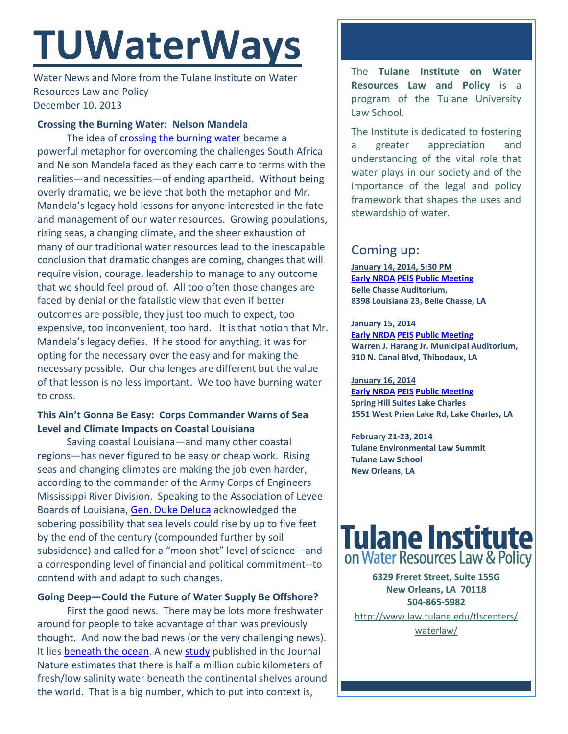# **TUWaterWays**

Water News and More from the Tulane Institute on Water Resources Law and Policy December 10, 2013

## **Crossing the Burning Water: Nelson Mandela**

The idea of [crossing the burning water](http://www.afrika.no/Detailed/24590.html) became a powerful metaphor for overcoming the challenges South Africa and Nelson Mandela faced as they each came to terms with the realities—and necessities—of ending apartheid. Without being overly dramatic, we believe that both the metaphor and Mr. Mandela's legacy hold lessons for anyone interested in the fate and management of our water resources. Growing populations, rising seas, a changing climate, and the sheer exhaustion of many of our traditional water resources lead to the inescapable conclusion that dramatic changes are coming, changes that will require vision, courage, leadership to manage to any outcome that we should feel proud of. All too often those changes are faced by denial or the fatalistic view that even if better outcomes are possible, they just too much to expect, too expensive, too inconvenient, too hard. It is that notion that Mr. Mandela's legacy defies. If he stood for anything, it was for opting for the necessary over the easy and for making the necessary possible. Our challenges are different but the value of that lesson is no less important. We too have burning water to cross.

# **This Ain't Gonna Be Easy: Corps Commander Warns of Sea Level and Climate Impacts on Coastal Louisiana**

Saving coastal Louisiana—and many other coastal regions—has never figured to be easy or cheap work. Rising seas and changing climates are making the job even harder, according to the commander of the Army Corps of Engineers Mississippi River Division. Speaking to the Association of Levee Boards of Louisiana, [Gen. Duke Deluca](http://www.nola.com/environment/index.ssf/2013/12/senior_corps_official_says_fed.html) acknowledged the sobering possibility that sea levels could rise by up to five feet by the end of the century (compounded further by soil subsidence) and called for a "moon shot" level of science—and a corresponding level of financial and political commitment--to contend with and adapt to such changes.

# **Going Deep—Could the Future of Water Supply Be Offshore?**

First the good news. There may be lots more freshwater around for people to take advantage of than was previously thought. And now the bad news (or the very challenging news). It lies [beneath the ocean.](http://www.news.com.au/technology/environment/scientists-discover-huge-freshwater-reserves-beneath-the-ocean/story-fnjww010-1226778644615) A new [study](http://dx.doi.org/10.1038/nature12858) published in the Journal Nature estimates that there is half a million cubic kilometers of fresh/low salinity water beneath the continental shelves around the world. That is a big number, which to put into context is,

The **Tulane Institute on Water Resources Law and Policy** is a program of the Tulane University Law School.

The Institute is dedicated to fostering a greater appreciation and understanding of the vital role that water plays in our society and of the importance of the legal and policy framework that shapes the uses and stewardship of water.

# Coming up:

**January 14, 2014, 5:30 PM [Early NRDA](http://www.gulfspillrestoration.noaa.gov/restoration/early-restoration/) [PEIS](http://www.gulfspillrestoration.noaa.gov/restoration/whats-a-peis/) Public [Meeting](http://www.gulfspillrestoration.noaa.gov/what-you-can-do/public-meetings/) Belle Chasse Auditorium, 8398 Louisiana 23, Belle Chasse, LA**

#### **January 15, 2014 [Early NRDA](http://www.gulfspillrestoration.noaa.gov/restoration/early-restoration/) [PEIS](http://www.gulfspillrestoration.noaa.gov/restoration/whats-a-peis/) [Public Meeting](http://www.gulfspillrestoration.noaa.gov/what-you-can-do/public-meetings/) Warren J. Harang Jr. Municipal Auditorium, 310 N. Canal Blvd, Thibodaux, LA**

**January 16, 2014 [Early NRDA](http://www.gulfspillrestoration.noaa.gov/restoration/early-restoration/) [PEIS](http://www.gulfspillrestoration.noaa.gov/restoration/whats-a-peis/) Public [Meeting](http://www.gulfspillrestoration.noaa.gov/what-you-can-do/public-meetings/) Spring Hill Suites Lake Charles 1551 West Prien Lake Rd, Lake Charles, LA**

**February 21-23, 2014 Tulane Environmental Law Summit Tulane Law School New Orleans, LA**



**6329 Freret Street, Suite 155G New Orleans, LA 70118 504-865-5982** 

[http://www.law.tulane.edu/tlscenters/](http://www.law.tulane.edu/tlscenters/waterlaw/)

[waterlaw/](http://www.law.tulane.edu/tlscenters/waterlaw/)